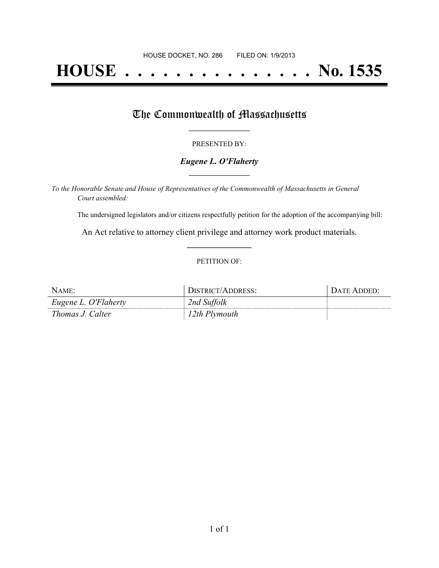# **HOUSE . . . . . . . . . . . . . . . No. 1535**

### The Commonwealth of Massachusetts

#### PRESENTED BY:

#### *Eugene L. O'Flaherty* **\_\_\_\_\_\_\_\_\_\_\_\_\_\_\_\_\_**

*To the Honorable Senate and House of Representatives of the Commonwealth of Massachusetts in General Court assembled:*

The undersigned legislators and/or citizens respectfully petition for the adoption of the accompanying bill:

An Act relative to attorney client privilege and attorney work product materials. **\_\_\_\_\_\_\_\_\_\_\_\_\_\_\_**

#### PETITION OF:

| NAME:                | DISTRICT/ADDRESS: | DATE ADDED: |
|----------------------|-------------------|-------------|
| Eugene L. O'Flaherty | 2nd Suffolk       |             |
| Thomas J. Calter     | 12th Plymouth     |             |